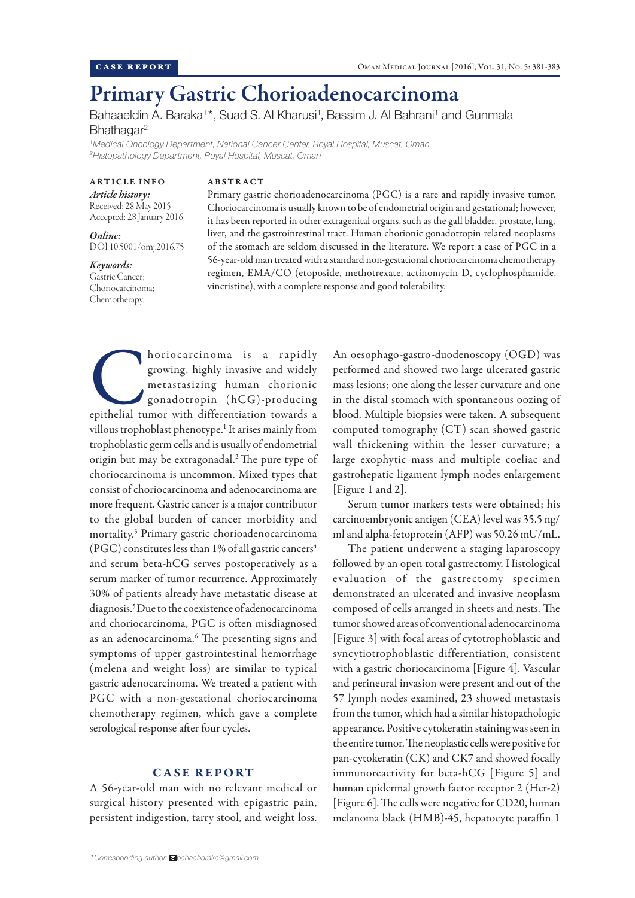# Primary Gastric Chorioadenocarcinoma

Bahaaeldin A. Baraka<sup>1\*</sup>, Suad S. Al Kharusi<sup>1</sup>, Bassim J. Al Bahrani<sup>1</sup> and Gunmala Bhathagar<sup>2</sup>

*1 Medical Oncology Department, National Cancer Center, Royal Hospital, Muscat, Oman 2 Histopathology Department, Royal Hospital, Muscat, Oman*

ARTICLE INFO *Article history:* Received: 28 May 2015 Accepted: 28 January 2016

*Online:* DOI 10.5001/omj.2016.75

#### *Keywords:*

Gastric Cancer; Choriocarcinoma; Chemotherapy.

## ABSTRACT

Primary gastric chorioadenocarcinoma (PGC) is a rare and rapidly invasive tumor. Choriocarcinoma is usually known to be of endometrial origin and gestational; however, it has been reported in other extragenital organs, such as the gall bladder, prostate, lung, liver, and the gastrointestinal tract. Human chorionic gonadotropin related neoplasms of the stomach are seldom discussed in the literature. We report a case of PGC in a 56-year-old man treated with a standard non-gestational choriocarcinoma chemotherapy regimen, EMA/CO (etoposide, methotrexate, actinomycin D, cyclophosphamide, vincristine), with a complete response and good tolerability.

horiocarcinoma is a rapidly growing, highly invasive and widely metastasizing human chorionic gonadotropin (hCG)-producing epithelial tumor with differentiation towards a growing, highly invasive and widely metastasizing human chorionic gonadotropin (hCG)-producing villous trophoblast phenotype.<sup>1</sup> It arises mainly from trophoblastic germ cells and is usually of endometrial origin but may be extragonadal.<sup>2</sup> The pure type of choriocarcinoma is uncommon. Mixed types that consist of choriocarcinoma and adenocarcinoma are more frequent. Gastric cancer is a major contributor to the global burden of cancer morbidity and mortality.3 Primary gastric chorioadenocarcinoma (PGC) constitutes less than 1% of all gastric cancers<sup>4</sup> and serum beta-hCG serves postoperatively as a serum marker of tumor recurrence. Approximately 30% of patients already have metastatic disease at diagnosis.5 Due to the coexistence of adenocarcinoma and choriocarcinoma, PGC is often misdiagnosed as an adenocarcinoma.<sup>6</sup> The presenting signs and symptoms of upper gastrointestinal hemorrhage (melena and weight loss) are similar to typical gastric adenocarcinoma. We treated a patient with PGC with a non-gestational choriocarcinoma chemotherapy regimen, which gave a complete serological response after four cycles.

### CASE REPORT

A 56-year-old man with no relevant medical or surgical history presented with epigastric pain, persistent indigestion, tarry stool, and weight loss.

An oesophago-gastro-duodenoscopy (OGD) was performed and showed two large ulcerated gastric mass lesions; one along the lesser curvature and one in the distal stomach with spontaneous oozing of blood. Multiple biopsies were taken. A subsequent computed tomography (CT) scan showed gastric wall thickening within the lesser curvature; a large exophytic mass and multiple coeliac and gastrohepatic ligament lymph nodes enlargement [Figure 1 and 2].

Serum tumor markers tests were obtained; his carcinoembryonic antigen (CEA) level was 35.5 ng/ ml and alpha-fetoprotein (AFP) was 50.26 mU/mL.

The patient underwent a staging laparoscopy followed by an open total gastrectomy. Histological evaluation of the gastrectomy specimen demonstrated an ulcerated and invasive neoplasm composed of cells arranged in sheets and nests. The tumor showed areas of conventional adenocarcinoma [Figure 3] with focal areas of cytotrophoblastic and syncytiotrophoblastic differentiation, consistent with a gastric choriocarcinoma [Figure 4]. Vascular and perineural invasion were present and out of the 57 lymph nodes examined, 23 showed metastasis from the tumor, which had a similar histopathologic appearance. Positive cytokeratin staining was seen in the entire tumor. The neoplastic cells were positive for pan-cytokeratin (CK) and CK7 and showed focally immunoreactivity for beta-hCG [Figure 5] and human epidermal growth factor receptor 2 (Her-2) [Figure 6]. The cells were negative for CD20, human melanoma black (HMB)-45, hepatocyte paraffin 1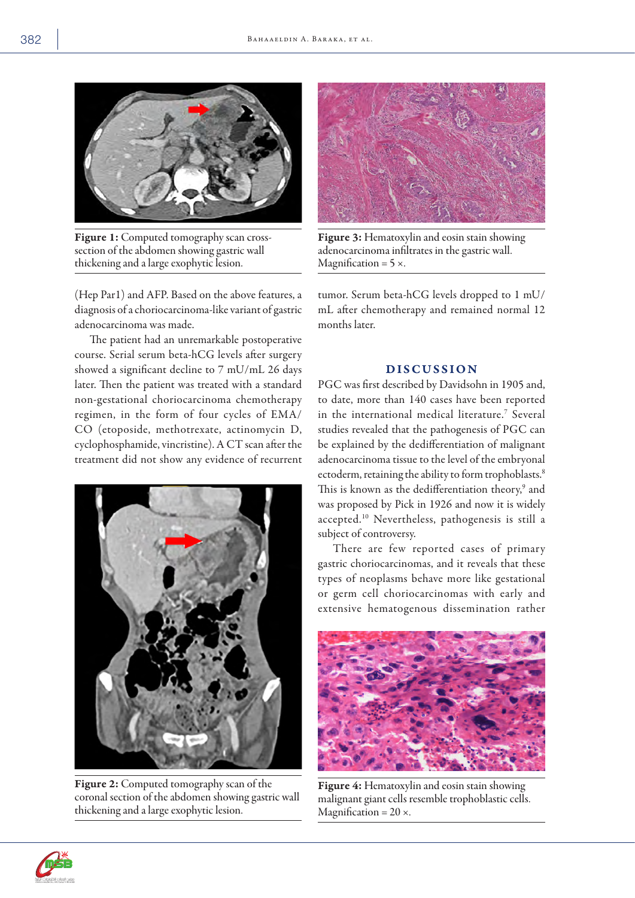

Figure 1: Computed tomography scan crosssection of the abdomen showing gastric wall thickening and a large exophytic lesion.

(Hep Par1) and AFP. Based on the above features, a diagnosis of a choriocarcinoma-like variant of gastric adenocarcinoma was made.

The patient had an unremarkable postoperative course. Serial serum beta-hCG levels after surgery showed a significant decline to 7 mU/mL 26 days later. Then the patient was treated with a standard non-gestational choriocarcinoma chemotherapy regimen, in the form of four cycles of EMA/ CO (etoposide, methotrexate, actinomycin D, cyclophosphamide, vincristine). A CT scan after the treatment did not show any evidence of recurrent



Figure 2: Computed tomography scan of the coronal section of the abdomen showing gastric wall thickening and a large exophytic lesion.



Figure 3: Hematoxylin and eosin stain showing adenocarcinoma infiltrates in the gastric wall. Magnification =  $5 \times$ .

tumor. Serum beta-hCG levels dropped to 1 mU/ mL after chemotherapy and remained normal 12 months later.

### DISCUSSION

PGC was first described by Davidsohn in 1905 and, to date, more than 140 cases have been reported in the international medical literature.7 Several studies revealed that the pathogenesis of PGC can be explained by the dedifferentiation of malignant adenocarcinoma tissue to the level of the embryonal ectoderm, retaining the ability to form trophoblasts.<sup>8</sup> This is known as the dedifferentiation theory,<sup>9</sup> and was proposed by Pick in 1926 and now it is widely accepted.10 Nevertheless, pathogenesis is still a subject of controversy.

There are few reported cases of primary gastric choriocarcinomas, and it reveals that these types of neoplasms behave more like gestational or germ cell choriocarcinomas with early and extensive hematogenous dissemination rather



Figure 4: Hematoxylin and eosin stain showing malignant giant cells resemble trophoblastic cells. Magnification =  $20 \times$ .